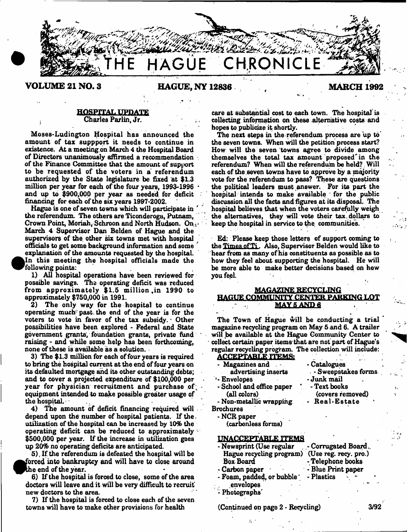

## **VOLUME 21 NO. 3 HAGUE, NY 12836 MARCH 1392**

#### HOSPITAL UPDATE - Charles Parlin, Jr.

Moses-Ludington Hospital has announced the amount of tax suppport it needs to continue in existence. At a meeting.on March 4 the Hospital Board of Directors unanimously affirmed a recommendation of the Finance Committee that the amount of support to be requested of the voters in a referendum authorized by the State legislature be fixed at \$1.3 million per year for each of the four years, 1993-1396 \* and up to \$900,000 per year as needed for deficit financing for each of the six years 1997-2002.

Hague is one of seven towns which will participate in ' the referendum. The others are Ticonderoga, Putnam, Crown Point, Moriah, Schroon and North Hudson. On  $t$ March 4 Supervisor Dan Belden of Hague and the supervisors of the other six towns met with hospital officials to get some background information and some explanation of the amounts requested by the hospital. In this meeting the hospital officials made the following points:

1) All hospital operations have been reviewed for possible savings. The operating deficit was reduced from approximately  $$1.5$  million in 1990 to approximately \$750,000 in 1991.

2) The only way for the hospital to continue operating much past, the end of the year is for the voters to vote in favor of the tax subsidy. \* Other possibilities have been explored - Federal and State government grants', foundation grants, private fund raising - and while some help has been forthcoming, none of these is available as a solution.

3) The \$1.3 million for each of four years is required to bring the hospital current at the end of four years on its defaulted mortgage and its other outstanding debts; and to cover a projected expenditure of \$100,000 per year for physician recruitment and purchase of equipment intended to make possible greater usage of the hospital.

4) The amount of deficit financing required will depend upon the number of hospital patients. If the. utilization of the hospital can be increased by 10% the operating deficit can be reduced to approximately  $\cdot$ \$500,000 per year. If the increase in utilization goes up 20% no operating deficits are anticipated.

5), If the referendum is defeated the hospital will be forced into bankruptcy and will have to close around he end of the year.

6) If the hospital is forced to close, some of the area doctors will leave and it will be very difficult to recruit new doctors to the area.

7) If the hospital is forced to close each of the seven towns will have to make other provisions for health

care at substantial cost to each town. The hospital is collecting information on these alternative costa and hopes to publicize it shortly.

The next steps in the referendum process are up to the seven towns. When will the petition process start? How will the seven towns agree to divide among themselves the total tax amount proposed'in the referendum? When will the referendum be held?. Will each of the seven towns have to approve by a majority vote for the referendum to pass? These are questions the political leaders must answer. For its part the hospital intends to make available for the public discussion all the facts and figures at its disposal. The hospital believes that when the voters careftilly weigh the alternatives, they will vote their tax. dollars to keep the hospital in service to the communities.

Ed; Please keep those letters of support coming to the Times of Ti. Also, Supervisor Belden would like to hear from as many of his constituents as possible as to how they feel about supporting the hospital. He will be more able to make better decisions based on how you feel.

### **MAGAZINE RECYCLING** BAGUEGQMMUNITY CENTER PARKING LOT **MAY 5 AND 6**

The Town of Hague will be conducting a trial magazine recycling program on May 5 .and 6. A trailer will be available at the Hague Community Center to collect certain paper items- that are not part of Hague's regular recycling program. The collection will include:

**ACCEPTABLE ITEMS:** Magazines and . Catalogues advertising inserts • Sweepstakes forms . '-Envelopes -Junk mail • School and office paper \* - Text books (all colors) (covers removed)<br>'on-metallic wrapping Real-Estate - Non-metallic wrapping Brochures -NCR paper (carbonless forms)

## UNACCEPTABLE ITEMS

| - Newsprint (Use regular                       | - Corrugated Board |  |  |  |
|------------------------------------------------|--------------------|--|--|--|
| Hague recycling program) (Use reg. recy. pro.) |                    |  |  |  |
| <b>Box Board</b>                               | - Telephone books  |  |  |  |
| - Carbon paper                                 | - Blue Print paper |  |  |  |
| - Foam, padded, or bubble                      | - Plastics         |  |  |  |
| envelopes                                      |                    |  |  |  |
| Photographs'                                   |                    |  |  |  |

(Continued on page 2 - Recycling) 3/92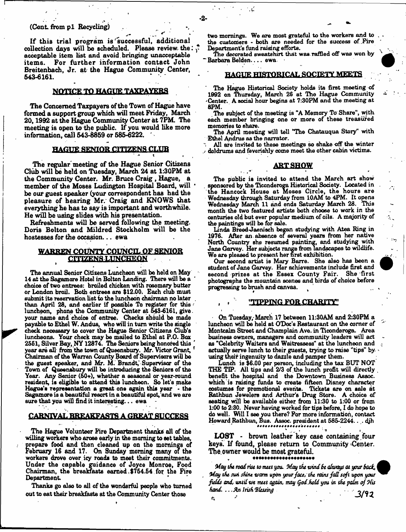## (Cont. from p1 Recycling)

If this trial program is *r*successful, additional collection days will be scheduled. Please review the: *\** acceptable item list and avoid bringing unacceptable items. For further information contact John Breitenbach, Jr. at the Hague Community Center, 643-6161. \*

## **NOTICE TO HAGUE TAXPAYERS**

The Concerned Taxpayers of the Town of Hague have formed a support group which will meet Friday, March 20,1992 at the Hague Community Center at 7PM. The meeting is open to the public. If you would like more information, call 643-6359 or 686-6222.

#### **HAGUE SENIOR CITIZENS CLUB**

The regular'meeting of the Hague Senior Citizens Club will be held on Tuesday, March 24 at 1:30PM at the Community Center. Mr. Bruce Craig , Hague, a member of the Moses Ludington Hospital Board, will 1 be our guest speaker (your correspondent has bad the pleasure of hearing Mr. Craig and KNOWS that everything he has to say is important and worthwhile. He will be using slides with his presentation.

Refreshments will be served following the meeting. Doris Bolton and Mildred Stockholm will be the hostesses for the occasion... ewa

### **WARREN COUNTY** COUNCIL OF SENIOR **CITIZENS LUNCHEON**

The annual Senior Citizens Luncheon will be held on May 14 at the Sagamore Hotel in Bolton Landing. There will be a choice of two entrees: broiled chicken with rosemary butter or London broil. Both entrees are \$12.00. Each club must submit its reservation list to the luncheon chairman no later than April 28, and earlier if possible To register for this  $\epsilon$ luncheon, phone the Community Center at 643-6161, give. your name and choice of entree. Checks should be made payable to Ethel W. Andus, who will in turn write the single check necessary to cover the Hague Senior Citizens Club's luncheons. Your check may be mailed to Ethel at P.O. Box 2661, Silver Bay, NY 12874. The Seniors being honored this ' year are all from the town of Queensbury. Mr. Victor Grant, Chairman of the Warren County Board of Supervisors will be the guest speaker, and Mr. M. Brandt, Supervisor of the Town of Queensbury will be introducing the Seniors of the Year. Any Senior (50+), whether a seasonal or year-round resident, is eligible to attend this luncheon. So let's make Hague's representation a great one again this year • the Sagamore is a beautiful resort in a beautiful spot, and we are sure that you will find it interesting... ewa

## **CARNIVAL BREAKFASTS A GREAT SUCCESS**

The Hague Volunteer Fire Department thanks all of the willing workers who aroee early in the morning to set tables, prepare food and then cleaned up on the mornings of February 16 and 17. On Sunday morning many of the workers drove over icy roads to meet their commitments. Under the capable guidance of Joyce Monroe, Food Chairman, the breakfasts earned ,\$764.64 for the Fire Department

Thanks go also to all of the wonderful people who turned out to eat their breakfasts at the Community Center those

two mornings. We are most grateful to the workers and to the customers - both are needed for the success of .Fire Department's fund raising efforts.

 $-2-$ 

The decorated sweatshirt that was raffled off was won by Barbara Belden.... ewa

#### **HAOUB HISTORICAL SOCIETY MEETS**

The Hague Historical Society holds its first meeting of 1992 on Thursday, March 26 at The Hague Community 'Center. A social hour begins at 7:30PM and the meeting at 8PM.

.The subject of the meeting is "A Memory To Share", with each member bringing one or more of these treasured memories to share.

The April meeting will tell "The Chatauqua Story" with Ethel Andrus as the narrator.

All are invited to these meetings so shake off the winter doldrums and feverishly come meet the other cabin victims.

## **ART SHOW**

The public is invited to attend the March art show . sponsored by the Ticonderoga Historical Society. Located in the Hancock House at Moses Circle, the hours are Wednesday through Saturday from 10AM to 4PM. It opens Wednesday March 11 and ends Saturday March 28. This month the two featured artists both choose to work in the centuries old but ever popular medium of oils. A majority of the paintings will be for sale.

Linda Breed-Jaenisch began studying with Atea Ring in 1976. After an absence of several years from her native North Country Bhs resumed painting, and studying with Jane Garvey. Her subjects range from landscapes to wildlife. We are pleased to present her first exhibition.

Our second artist is Mary Barre. She also has been a student of Jane Garvey. Her achievements include first and second prizes at the Essex County Fair. photographs the mountain scenes and birds of choice before progressing to brush and canvas. ^

#### **, t TIPPING FOR CHARITY"**

On Tuesday, March 17 between 11:3QAM and 2:30PM a luncheon will be held at ODoc's Restaurant on the comer of Montcalm Street and Champlain Ave. in Ticonderoga. Area business owners, managers and community leaders will act as "Celebrity Waiters and Waitressesa" at the luncheon and actually serve lunch to their guests, trying to raise "tips" by. using their ingenuity to dazzle and pamper them.

Lunch is \$6.00 per person, including the tax BUT NOT THE TIP. All tips and 2/3 of the lunch profit will directly benefit the hospital and the Downtown Business Assoc, which is raising funds to create fifteen Disney character costumes for promotional events. Tickets are on sale at Rathbun Jewelers and Arthur's Drug Store. A choice of seating will be available either from 11:30 to 1:00 or from 1:00 to 2:30. Never having worked for tips before, I do hope to do well. Will I see you there? For more information, contact Howard Rathbun, Bus. Assoc, president at 585-2244.... djh

LOST - brown leather key case containing four keys. If found, please return to Community Center. The. owner would be most grateful.

#### \*\*\*\*\*\*\*\*\*\*\*\*\*\*\*\*\*\*\*\*\*

*May tht road riu to mitt you. May tht wind St always at your badu* **,** *May tht suti sfunt warm upon yourfau, tht nans faS soft upon your fulds and, until tot mut ogoin, may Qod.hoCd you in tht palm of Mis Hand .. .Anlrish'BUssing Q* $\mathbf{r}_i$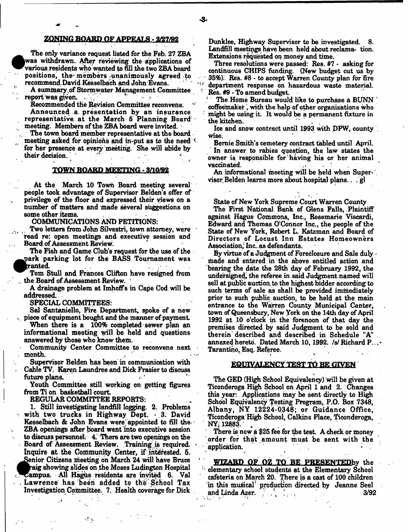## **ZONING BOARD OF APPEALS - 2/27/92**

 $\bullet$  The only variance request listed for the Feb. 27 ZBA was withdrawn. After reviewing the applications of various residents who wanted to fill the two ZBA board positions, the members unanimously agreed to recommend.David Kesselbach and John Evans.

A summary ,of Stormwater Management Committee report was given.

Recommended the Revision Committee reconvene. Announced a. presentation by an insurance representative at the March 5 Planning Board' meeting. Members of the ZBA board were invited. •

The town board member representative at the board meeting asked for opinions and in-put as to the need  $\ell$ for her presence at every meeting. She will abide by their decision. • ? ' \* *\**

#### TOWN BOARD MEETING - 3/10/92

At the March 10 Town Board meeting several people took advantage of Supervisor Belden'8 offer of privilege of the floor and expressed their views on a number of matters and made several suggestions on some other items.

COMMUNICATIONS AND PETITIONS:

Two letters from John Silvestri, town attorney, were read re: open meetings and executive session and Board of Assessment Review.

The Fish and Game Club's request for the use of the ^^>ark parking lot for the BASS Tournament was  ${\tt ranted.}$ 

Tom Stull and Frances Clifton have resigned from the Board of Assessment Review. 1

A drainage problem at Imhoffs in Cape Cod will be addressed.

SPECIAL COMMITTEES:

Sal Santaniello, Fire Department, spoke of a new piece of equipment bought and the manner of payment

When there is a 100% completed sewer plan an informational meeting will be held and questions answered by those who know them.

Community Center Committee to reconvene next month.

Supervisor Belden has been in communication with Cable TV. Karen Laundree and Dick Frasier to discuss future plans.

Youth Committee still working on getting figures from Ti on basketball court

REGULAR COMMITTEE REPORTS:

 $\sim$   $\sim$ 

1. Still investigating landfill logging. 2. Problems with two trucks in Highway Dept.  $\cdot$  3. David Kesselbach & John Evans were appointed to fill the ZBA openings after board went into executive session to discuss personnel: 4. There are two openings on the Board of Assessment Review. Training is required. Inquire at the Community Center, if interested. 5. ^Senior Citizens meeting on March 24 will have Bruce raig showing slides on the Moses Ludington Hospital Campus. All Hague residents are invited 6. Val - Lawrence has been added to the School Tax Investigation Committee. 7. Health coverage for Dick

Dunklee, Highway Supervisor to be investigated. 8. Landfill meetings have been held about reclama- tion. Extensions requested on money and time.

Three resolutions were passed: Res. #7 - asking for continuous CHIPS funding. (New budget cut us by 35%). Res. #8 - to accept Warren County plan for fire *f* department response on hazardous waste material. Res. #9 - To amend budget

The Home Bureau would like to purchase a BUNN \* coffeemaker, with the help of other organizations who might be using it. It would be a permanent fixture in the kitchen.

Ice and snow contract until 1993 with DFW, county . wise.

Bemie Smith's cemetery contract tabled until April. In answer to rabies question, the law states the owner is responsible for having his or her animal vaccinated. '

An informational meeting will be held when Supervisor]Belden learns more about hospital plans.. . gl

State of New York Supreme Court Warren County

The First National Bank of Glens Falls, Plaintiff against Hague Commons, Inc., Rosemarie Viscardi, Edward and Thomas O'Connor Inc., the people of the State of New York, Robert L. Katzman and Board of Directors of Locust Inn Estates Homeowners Association,'Inc. . as defendants.

By virtue of a Judgment of Foreclosure and Sale duly • made and entered in the above entitled action and bearing the date the 28th day of February 1992, the undersighed, the referee in said Judgment named will sell at public auction, to the highest bidder according to such terms of sale as shall be provided immediately prior to such public auction, to be held at the main entrance to the Warren County Municipal Center, town of Queensbury, New York on the 14th day of April 1992 at 10 o'clock in the forenoon of that day the premises directed by said Judgment to be sold and therein described and described in Schedule "A" annexed hereto. Dated March 10, 1992. /s/ Richard P...-Tarantino, Esq. Referee.

## EQUXVALENCY TEST TO BE GIVEN

The GEJD (High School Equivalency) will be given at Ticonderoga High School on April 1 and 2. Changes this year: Applications may be sent directly to High School Equivalency Testing Program, P.O. Box 7348, Albany, NY 12224-0348; or Guidance Office. Ticonderoga High School, Calkins Place, Ticonderoga, NY; 12883.

There is now a \$25 fee for the test. A check or money order for that amount m ust be sent with the application.

WIZARD OF OZ TO BE PRESENTEDby the elementary school students at the Elementary School cafeteria on March 20. There is a cast of 100 children in this musical production directed by Jeanne Seel and Linda Azer.  $\therefore$   $\therefore$  3/92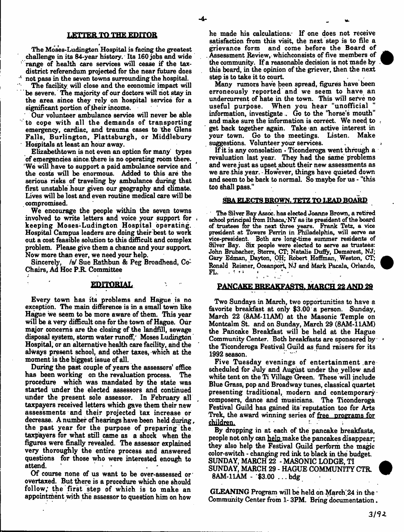#### LETTER TO THE EDITOR

The Moses-Ludington Hospital is facing the greatest challenge in its 84-year history. Its 160 jobs and wide range of health care services will cease if the taxdistrict referendum projected for the near future does ' not pass in the seven towns surrounding the hospital.

The facility will close and the economic impact will be severe. The majority of our doctors will not stay in the area since they rely on hospital service for a significant portion of their income.

Our volunteer ambulance service will never be able to cope with all the demands of transporting emergency, cardiac, and trauma cases to the Glens Falls, Burlington, Plattsburgh, or Middlebury Hospitals at least an hour away.

Elizabethtown is not even an option for many types of emergencies since, there is no operating room there. We will have to support a paid ambulance service and the costs will be enormous. Added to this are the serious risks of traveling by ambulance during that first unstable hour given our geography and climate. Lives will be lost and even routine medical care will be compromised.

We encourage the people within the seven towns involved to write letters and voice your support for keeping Moses-Ludington Hospital operating. Hospital Campus leaders are doing their best to work out a cost feasible solution to this difficult and complex problem. Please give them a chance and your support Now more than ever, we need your help.

Sincerely, /s/ Sue Rathbun & Peg Broadhead, Co-Chairs, Ad Hoc P.R. Committee

#### EDITORIAL

Every town has its problems and Hague is no exception. The main difference is in a small town like Hague we seem to be more aware of them. This year will be a very difficult one for the town of Hague. Our major concerns are the closing of the landfill, sewage disposal system, storm water runoff, Moses Ludington Hospital, or an alternative health care facility, and the always present school, and other taxes, which at the moment is the biggest issue of all.

During the past couple of years the assessors' office has been working on the revaluation process. The procedure which was mandated by the state was started under the elected assessors and continued under the present sole assessor. In February all taxpayers received letters which gave them their new assessments and their projected tax increase or decrease. A number of hearings have been held during, the past year for the purpose of preparing the taxpayers for what still came as a shock when the figures were finally revealed. The assessor explained very thoroughly the entire process and answered questions for those who were interested enough to attend.

Of course none of us want to be over-assessed or' overtaxed. But there is a procedure which one should follow; the first step of which is to make an appointment with the assessor to question him on how

he made his calculations. If one does not receive satisfaction from this visit, the next step is to file a grievance form and come before the Board of Assessment Review, whichconsists of five members of the community. If a reasonable decision is not made by this board, in the opinion of the griever, then the next step is to take it to court.

Many rumors have been spread, figures have been erroneously reported and we seem to have an undercurrent of hate in the town. This will serve no useful purpose. When you hear "unofficial information, investigate.. Go to the "horse's mouth" and make sure the information is correct. We need to get back together again. Take an active interest in your town. Go to the meetings. Listen. Make suggestions. Volunteer your services.

If it is any consolation - Ticonderoga went through a revaluation last year. They had the same problems and were just as upset about their new assessments as we are this year. • However, things have quieted down and seem to be back to normal. So maybe for us - "this too shall pass."

### SBA ELECTS BROWN. TETZ TO LEAD BOARD

'Die Silver Bay Assoc, has elected Joanne Brown, a retired school principal from Ithaca/NY as its president of the board of trustees for the next three years. Frank Tetz, a vice president at Towers Perrin in Philadelphia, will serve as vice-president. Both are long-time summer residents of Silver Bay. Six people were elected to serve as trustees: John Brubacher, Starrs, CT; Natalie Dufly, Demarest, NJ; Gary Edman, Dayton, OH; Robert Hoffman, Weston, CT; Ronald Reisner, Oceanport, NJ and Mark Pacala, Orlando, FL. FL. . < \* \*

## PANCAKE BREAKFASTS, MARCH 22 AND 29

Two Sundays in March, two opportunities to have a favorite breakfast at only \$3.00 a person. Sunday, March 22 (SAM- 11AM) at the Masonic Temple on Montcalm St. and on Sunday, March 29 (8AM-11AM) the Pancake Breakfast will be held at the Hague Community Center. Both breakfasts are sponsored by the Ticonderoga Festival Guild as fund raisers for its 1992 season.

Five Tuesday evenings of entertainment are scheduled for July and August under the yellow and white tent on the Ti Village Green. These will include Blue Grass, pop and Broadway tunes, classical quartet presenting traditional, modern and contemporary composers, dance and musicians. The Ticonderoga Festival Guild has gained its reputation too for Arts Trek, the award winning series of free programs for children.

By dropping in at each of the pancake breakfasts, people not only can help make the pancakes disappear; they also help the Festival Guild perform the magic color-switch - changing red ink to black in the budget SUNDAY, MARCH 22 - MASONIC LODGE, TI SUNDAY, MARCH 29 - HAGUE COMMUNITY CTR. 8AM-11AM - \$3.00 ... bdg

GLEANING Program will be held on March 24 in the  $\cdot$ Community Center from 1-3PM. Bring documentation.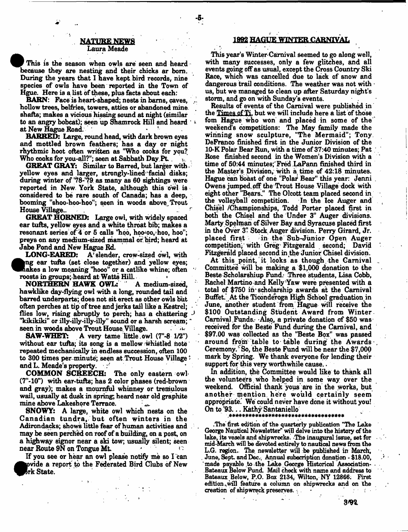#### NATURE NEWS Laura Meade

This is the season when owls are seen and heard because they are nesting and their chicks ar born. . During the years that I have kept bird records, nine species of owls have been reported in the Town of Hgue. Here is a list of these, plus facts about each:

BARN: Face is heart-shaped; nests in barns, caves, hollow trees, belfries, towers, attics or abandoned mine, shafts; makes a vicious hissing sound at night (similar to an angry bobcat); seen up Shamrock Hill and heard ' 1 at New Hague Road.

BARRED: Large, round head, with dark brown eyes and mottled brown feathers; has a day or night rhythmic hoot often written as "Who cooks for you? Who cooks for you-all?"; seen at Sabbath Day Pt.

GREAT GRAY: Similar to Barred, but larger with. yellow eyes and larger, strongly-lined facial disks; during winter of '78-'79 as many as 60 sightings were reported in New York State, although this owl is considered to be rare south of Canada; has a deep, booming "shoo-hoo-hoo"; seen in woods above^ Trout House Village..

GREAT HORNED: Large owl, with widely spaced ear tufts, yellow eyes and a white throat bib; makes a resonant series of 4 or 5 calls "hoo, hoo-oo, hoo, hoo"; preys on any medium-sized mammal or bird; heard at

Jabe Pond and New Hague Rd.<br>LONG-EARED: A'slender A' slender, crow-sized owl, with ng ear tufts (set close together) and yellow eyes; hakes a low moaning "hooo" or a catlike whine; often roosts in groups; heard at Watts HiU. \*

NORTHERN HAWK OWL: " A medium-sized, hawklike day-flying owl with a long, rounded tail and barred underparts; does not sit erect as other owls but often perches at tip of tree and jerks tail like a Kestrel; flies low, rising abruptly to perch; has a chattering *J* "kikikiki" or illy-illy-illy-illy" sound or a harsh scream; seen in woods above Trout House Village.<br>**SAW-WHET:** A very tame little ow

A very tame little owl  $(7 - 8 \t1/2")$ without ear tufts; its song is a mellow whistled note repeated mechanically in endless succession, often 100 to 300 times per. minute; seen at Trout House Village \* and L. Meade's property.  $\sim$   $\sim$ 

COMMON SCREECH: The only eastern owl (7"-10") with ear-tufts; has 2 color phases (red-brown and gray); makes a mournful whinney or tremulous wail, usually at dusk in spring; heard near old graphite mine above Lakeshore Terrace. ^

SNOWY: A large, white owl which nests on the Canadian tundra, but often winters in the Adirondacks; shows little fear of human activities and may be seen perched on roof of a building, on a post, on a highway signor near a ski tow; usually silent; seen near Route 9N on Tongue Mt.

If you see or hear an owl please notify me so I can  $\bullet$ >vide a report to the Federated Bird Clubs of New rk State.

## **1992 HAGUE WINTER CARNIVAL**

This year's Winter-Carnival seemed to go along well, with many successes, only a few glitches, and all events going off as usual, except the Cross Country Ski Race, which was cancelled due to lack of snow and dangerous trail conditions. The weather was not with  $\cdot$ us, but we managed to clean up after Saturday night's storm, and go on with Sunday's events.

Results of events of the Carnival were published in the Times of Ti. but we will include here a list of those fom Hague who won and placed in some of the weekend's competitions: The May family made the winning snow sculpture, "The Mermaid"; Tony, DeFranco finished first in the Junior Division of the 10-K Polar Bear Run, with a time of 37:40 minutes; Pat Rose finished second in the Women's Division with a time of 50:44 minutes; Fred LaPann finished third in the Master's Division, with a time of 42:18 minutes. Hague can boast of one "Polar Bear" this year: Jenni Owens jumped off the Trout House Village dock with eight other "Bears." The Olcott team placed second in the volleyball competition. In the Ice Auger and the volleyball competition. Chisel /Championships, Todd Porter placed first in both the Chisel and the Under 3" Auger divisions. Marty Spelman of Silver Bay and Syracuse placed first in the Over 3" Stock Auger division. Perry Girard, Jr. in the Sub-Junior Open Auger competition; with Greg' Fitzgerald second; David Fitzgerald placed second in the Junior Chisel division.

At this point, it looks as though, the Carnival Committee will be making a \$1,000 donation to the Beste Scholarshiup Fund: Three students, Lisa Cobb, Rachel Martino and Kelly'Yaw were presented with a total of  $$750$  in scholarship awards at the Carnival Buffet. At the Ticonderoga High School graduation in June, another student from Hague will receive the \$100 Outstanding Student Award from Winter. Carnival Funds. Also, a private donation of \$50 was received for the Beste Fund during the Carnival, and \$97.00 was collected as the "Beste Box" was passed around from table to table during the Awards  $\mathbf{r}$ Ceremony. $^{\circ}$  So, the Beste Fund will be near the \$7,000 mark by Spring. We thank everyone for lending their support for this very worthwhile cause..

In addition, the Committee would like to thank all the volunteers who helped in some way over the weekend. Official thank yous are in the works, but another mention, here would certainly seem appropriate.' We could never have done it without you! On to '93... Kathy Santaniello

.The first edition of the quarterly publication "The Lake George Nautical Newsletter^ will delve into the history of the lake, its vesels and shipwrecks. The inaugural issue, set for mid-March will be devoted entirely to nautical news from the L.G. region. The newsletter will be published in March, June, Sept. and Dec., Annual subscription donation - \$18.00, made payable to the Lake George Historical Association-Bateaux Below Fund. Mail check with name and address to Bateaux Below, P.O. Bax 2134, Wilton, NY 12866: First edition, will feature a column on shipwrecks and on the creation of shipwreck preserves.

3/92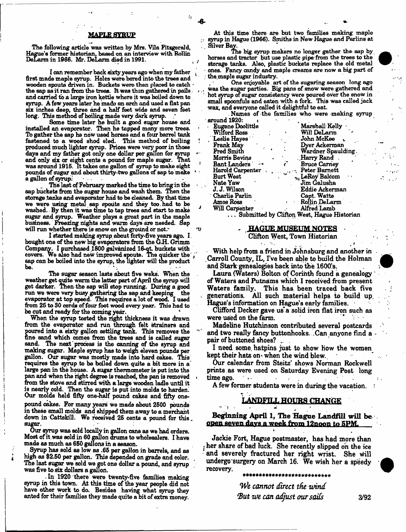#### **MAPLE SYRUP**

The following article was written by Mrs. Vila Fitzgerald, Hague's farmer historian, based on an interview with Rollin DeLarm in 1986. Mr. DeLarm died in 1991.

I can remember back sixty years ago when my father first made maple syrup. Holes were bored into the trees and wooden spouts driven in. Buckets were then placed to catch the sap aa it ran from the trees. It was than gathered in pails. *>* and carried to a large iron kettle where it was boiled down to syrup. A few years later he made an arch and used a flat pan six inches deep, three and a half feet wide and Beven feet long. This method of bailing made very dark syrup.

Same time later he built a good sugar house and installed ah evaporator. Then he tapped many more trees. To gather the sap he now used horses and a four barrel tank fastened to a wood shod sled. This method of boiling I produced much lighter syrup. Prices were very poor in those days and my father got only one dollar per gallon for syrup and only six or eight cents a pound for maple sugar. That was around 1915. It takes one gallon of syrup to make eight pounds of sugar and about thirty-two gallons of sap to make a gallon of syrup:

The last of February marked the time to bring in the sap buckets from the sugar house and wash them. Then the storage .tanks and evaporator had to be cleaned. By that time we were using metal sap spouts and they too.had to be *J* washed.. By then it was time to tap trees and start to make sugar and syrup. Weather plays a great part in the maple business. Freezing nights and warm days are needed. Sap will run whether there is snow on the ground or not.

I started making syrup about forty-five years ago. I . bought one of the new big evaporators from the G.H. Grimm Company. I purchased ,1800 galvanized 16-qt. buckets with covers. We also had new improved spouts. The quicker the  $\varphi^*$ sap can be boiled into the syrup, the lighter will the product be.

The sugar season lasts about five weks. When the weather get quite warm the latter part of April the syrup will get darker. Then the sap mil stop running. During a good run we were very busy gathering the sap and keeping the evaporator at top speed. This requires a lot of wood. I used from 25 to 30 cords of four foot wood every year. This had to be cut end ready for the coming year. \*

When the syrup tested the right thickness it was drawn from the evaporator and run through felt strainers and poured into a sixty gallon settling tank. This removes the fine sand which comes from the trees and is called sugar sand. The next process is the canning of the syrup and making sugar. Maple syrup has to weigh eleven pounds per gallon. Our sugar was mostly made into hard cakes. This requires the syrup to be boiled down quite a bit more in a\* large pan in the house. A sugar thermometer is put into the pan and when the right degree is reached, the pan is removed < from the stove and stirred with a large wooden ladle until it is nearly cold. Then the sugar is put into molds to harden. Our molds held fifty one-naif pound cakes and fifty onepound cakes. For many years we made about 2500 pounds

in these small molds and shipped them away to a merchant down in Cattskill. We received 25 cents a pound for this, sugar.

Our syrup was sold locally in gallon cane as we had orders. Most of it .was sold in 60 gallon drums to wholesalers. I have made as much as 650 gallons in a season.

Syrup has sold as low as .65 per gallon in barrels, and as high as \$2.50 per gallon. This depended on grade and color. The last sugar we sold we got one dollar a pound, and syrup was five to six dollars a gallon.

. In 1920 there were twenty-five families making syrup in this town. At this time of the year people did not have other work to da Besides having what syrup they anted for their families they made quite a bit of extra money.

At this time there are but two families making maple syrup in Hague (1966). Smiths in New Hague and Parlins at ., Silver Bay.

The big. syrup makers no longer gather the sap by horses and tractor but use plastic pipe from the trees to the storage tanks. Also, plastic buckets replace the old metal • ones. Fancy candy and maple creams are now a big part of . the maple sugar industry.

One enjoyable art of the sugaring season long ago was the sugar parties. Big pans of snow were gathered and hot syrup of sugar consistency were poured over the snow in small spoonfuls and eaten with a fork. This was called jack wax, and everyone called it delightful to eat.

Names of the families who were making syrup around 1920: *< "*

| Eugene Doolittle        | Marshall Kelly                             |
|-------------------------|--------------------------------------------|
| Wilford Ross            | Will DeLarm                                |
| Leslie Hayes            | John McKee                                 |
| Frank May               | Dyer Ackerman                              |
| Fred Smith              | Wardner Spaulding.                         |
| Morris Bevins           | Harry Rand                                 |
| Bant Landers<br>an¶     | <b>Bruce Carney</b>                        |
| <b>Harold Carpenter</b> | Peter Barnett                              |
| <b>Burt West</b>        | <sub>7</sub> , LeRoy Balcom                |
| Nate Yaw                | Jim Galusha                                |
| J. J. Wilson            | Eddie Ackerman                             |
| <b>Charlie Parlin</b>   | Capt. Watts                                |
| Amos Ross               | Rollin DeLarm                              |
| Will Carpenter          | Alfred Lamb                                |
|                         | Submitted by Clifton West, Hague Historian |

# ~ . HAGUE MUSEUM HQXES

Clifton West, Town Historian

 $\Phi$  .  $\Phi$  is a set of  $\Phi$  is a set of  $\Phi$  is a set of  $\Phi$ With help from a friend in Johnsburg and another in Carroll County, IL, I've been able to build the Holman and Stark genealogies back into the 1600's.

Laura (Waters) Bolton of Corinth found a genealogy of Waters and Putnams which I received from present Waters family. This has. been traced back five . generations. All such material helps to build up. Hague's information on Hague's early families.

Clifford Decker gave us a solid iron flat iron such as were used on the farm.

Madeline Hutchinson contributed several postcards and two really fancy buttonhooks. .Can anyone find a pair of buttoned shoes?

I need some, hatpins just to show how the women kept their hats on when the wind blew.

Our calendar from Steitz' shows Norman Rockwell prints as were used on Saturday Evening Post long time ago.

A few former students were in during the vacation.

## **LANDFILL HOURS CHANGE**

**Beginning April 1, The Hague Landfill will be open seven davs a week from 12noon to 5PM.**

Jackie Fort, Hague postmaster, has had more than j her share of bad luck. She recently slipped oh the ice and severely fractured her right wrist. She will undergo surgery on March 16. We wish her a speedy recovery.

> *We cannot direct the wind But we can adjust our sails* 3/92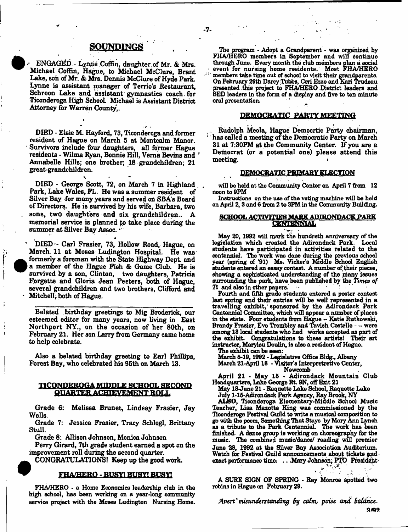## **a o y s D m o s** ,

^ ENGAGED - Lynne Coffin, daughter of Mr. & Mrs. Michael Coffin, Hague, to Michael McClure, Brant Lake, son of Mr. & Mrs. Dennis McClure of Hyde Park. Lynne is assistant manager of Terrio's Restaurant, Schroon Lake and assistant gymnastics coach, for Ticonderoga High School. Michael is Assistant District Attorney for Warren County,.

DEED - Elsie M. Hayford, 73, Ticonderoga and former resident of Hague on March 5 at Montcalm Manor. Survivors include four daughters, all former Hague residents - Wilma Ryan, Bonnie Hill, Verna Bevins and *\** Annabelle Hills; one brother; 18 grandchildren; 21 great-grandchildren.

s DIED - George Scott, 72, on March 7 in Highland . Park, Lake Wales, FL. He was a summer resident of Silver Bay for many years and served on SBA's Board of Directors. He is survived by his wife, Barbara, two sons, two daughters and six grandchildren.. A memorial service is planned to take place during the summer at Silver Bay Assoc.

\*

\* DIED - Carl Frasier, 73, Hollow Road, Hague, on March. 11 at Moses Ludington Hospital. He was formerly a foreman with the State Highway Dept, and a member of the Hague Fish & Game Club. He is survived by a son, Clinton, two daughters, Patricia Forgette and Gloria Jean Peeters, both of Hague, several grandchildren and two brothers, Clifford and Mitchell, both of Hague.

Belated birthday greetings to Mig Broderick, our esteemed editor for many years, now living in East Northport NY., on the occasion of her 80th, on February 21. Her son Larry from Germany came home to help celebrate.

Also a belated birthday greeting to Earl Phillips, Forest Bay, who celebrated his 95th on March 13.

## TICOIWEROGA MIDDLE **SCHOOL SECOND** QUARTER ACHIEVEMENT BOLL

Grade 6: Melissa Brunet, Lindsay Frasier, Jay Wells.

Grade 7: Jessica Frasier, Tracy Schlogl, Brittany Stull.

Grade 8: Allison Johnson, Monica Johnson

Perry Girard, 7th grade student earned a spot on the improvement roll during the second quarter.

CONGRATULATIONS! Keep up the good work.

#### FHA/HEKQ • BUSY! BUSHBU3K

FRA/HERO - a Home Economics leadership club in the high school, has been working on a year-long community service project with the Moses Ludington Nursing Home.

The program - Adopt a Grandparent - was organized by FHA/HERO members in September and will continue through June. Every month the club members plan a social event for nursing home residents. Most FHA/HERO ' members take time out of school to visit their grandparents. On February 26th Darcy Tubbs, Cori Ezzo and Kari Trudeau presented this project to FHA/HERO District leaders and SED leaders in the form of a display and five to ten minute oral presentation.

#### DEMOCRATIC PARTY MEETING

. Rudolph Meola, Hague Democrtic Party chairman, has called a meeting of the Democratic Party on March 31 at 7:30PM at the Community Center. If you are a Democrat (or a potential one) please attend this meeting.

#### DEMOCRATIC PRIMARY ELECTION

will be held at the Community Center on April 7 from 12 noon to 9PM

Instructions on the use of the voting machine will be held on April 2, 3 and 6 from 2 to 3PM in the Community Building.

#### **SCHOOL ACTIVITIES MARK ADIRONDACK PARK** CENIENNIAL

May 20, 1992 will mark the hundreth anniversary of the legislation which created the Adirondack Park. Local students have participated in activities related to the centennial. The work was done during the previous school year (spring of '91) Ms. Vicker's Middle School English students entered an essay contest. A number of their pieces, showing a sophisticated understanding of the many issues surrounding the park, have been published by the *Times of Ti* and also in other papers.

Fourth and fifth grade students entered a poster contest last spring and their entries will be well represented in a travelling exhibit,' sponsored by the Adirondack Park Centennial Committee, which will appear a number of places in the state. Four students from Hague - Katie Rutkowski, Brandy Frasier, Eve Trombley and Tavish Costello - - were among 13 local students who had works accepted as part of the exhibit. Congratulations to these artiste! Their art instructor, Marylou Doulin, is also a resident of Hague.

The exhibit can be seen:

March 5-19,1992 - Legislative Office Bldg., Albany March 21-April 18 - Visitor's Interpretretive Center, Newcomb

April 21 - May 15 - Adirondack Mountain Club

Headquarters, Lake George Rt. 9N, off Exit 21 May 18-June 21 - Raquette Lake School, Raquette Lake July 1-15-Adirondack Park Agency, Ray Brook, NY

ALSO, Ticonderoga Elementary-Middle School Music Teacher, Lisa Mazotte King was commissioned by the Ticonderoga Festival Guild to write a musical composition to go with the poem, Something That Stays by Mary Ann Lynch as a tribute to the Park Centennial. The work has been finished. A dance group is working on choreography for the music. The combined music/dance/ reading will premier June 28, 1992 at the Silver Bay Association Auditorium. Watch for Festival Guild announcements about tickets gadexact performance time: ... Mary Johnson; PTO President

A SURE SIGN OF SPRING - Ray Monroe Spotted two robins in Hague on February 29.

Avert *\* misunderstanding by calm, poise and balance*. a/Q9